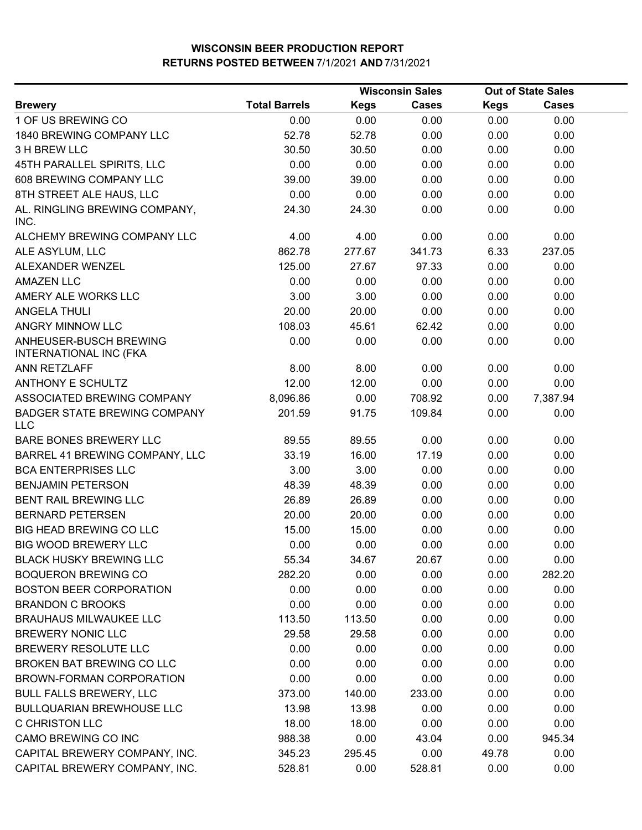|                                                                |                      |             | <b>Wisconsin Sales</b> |             | <b>Out of State Sales</b> |  |
|----------------------------------------------------------------|----------------------|-------------|------------------------|-------------|---------------------------|--|
| <b>Brewery</b>                                                 | <b>Total Barrels</b> | <b>Kegs</b> | <b>Cases</b>           | <b>Kegs</b> | <b>Cases</b>              |  |
| 1 OF US BREWING CO                                             | 0.00                 | 0.00        | 0.00                   | 0.00        | 0.00                      |  |
| 1840 BREWING COMPANY LLC                                       | 52.78                | 52.78       | 0.00                   | 0.00        | 0.00                      |  |
| 3 H BREW LLC                                                   | 30.50                | 30.50       | 0.00                   | 0.00        | 0.00                      |  |
| 45TH PARALLEL SPIRITS, LLC                                     | 0.00                 | 0.00        | 0.00                   | 0.00        | 0.00                      |  |
| 608 BREWING COMPANY LLC                                        | 39.00                | 39.00       | 0.00                   | 0.00        | 0.00                      |  |
| 8TH STREET ALE HAUS, LLC                                       | 0.00                 | 0.00        | 0.00                   | 0.00        | 0.00                      |  |
| AL. RINGLING BREWING COMPANY,<br>INC.                          | 24.30                | 24.30       | 0.00                   | 0.00        | 0.00                      |  |
| ALCHEMY BREWING COMPANY LLC                                    | 4.00                 | 4.00        | 0.00                   | 0.00        | 0.00                      |  |
| ALE ASYLUM, LLC                                                | 862.78               | 277.67      | 341.73                 | 6.33        | 237.05                    |  |
| ALEXANDER WENZEL                                               | 125.00               | 27.67       | 97.33                  | 0.00        | 0.00                      |  |
| <b>AMAZEN LLC</b>                                              | 0.00                 | 0.00        | 0.00                   | 0.00        | 0.00                      |  |
| AMERY ALE WORKS LLC                                            | 3.00                 | 3.00        | 0.00                   | 0.00        | 0.00                      |  |
| <b>ANGELA THULI</b>                                            | 20.00                | 20.00       | 0.00                   | 0.00        | 0.00                      |  |
| ANGRY MINNOW LLC                                               | 108.03               | 45.61       | 62.42                  | 0.00        | 0.00                      |  |
| <b>ANHEUSER-BUSCH BREWING</b><br><b>INTERNATIONAL INC (FKA</b> | 0.00                 | 0.00        | 0.00                   | 0.00        | 0.00                      |  |
| ANN RETZLAFF                                                   | 8.00                 | 8.00        | 0.00                   | 0.00        | 0.00                      |  |
| <b>ANTHONY E SCHULTZ</b>                                       | 12.00                | 12.00       | 0.00                   | 0.00        | 0.00                      |  |
| ASSOCIATED BREWING COMPANY                                     | 8,096.86             | 0.00        | 708.92                 | 0.00        | 7,387.94                  |  |
| <b>BADGER STATE BREWING COMPANY</b><br><b>LLC</b>              | 201.59               | 91.75       | 109.84                 | 0.00        | 0.00                      |  |
| <b>BARE BONES BREWERY LLC</b>                                  | 89.55                | 89.55       | 0.00                   | 0.00        | 0.00                      |  |
| BARREL 41 BREWING COMPANY, LLC                                 | 33.19                | 16.00       | 17.19                  | 0.00        | 0.00                      |  |
| <b>BCA ENTERPRISES LLC</b>                                     | 3.00                 | 3.00        | 0.00                   | 0.00        | 0.00                      |  |
| <b>BENJAMIN PETERSON</b>                                       | 48.39                | 48.39       | 0.00                   | 0.00        | 0.00                      |  |
| BENT RAIL BREWING LLC                                          | 26.89                | 26.89       | 0.00                   | 0.00        | 0.00                      |  |
| <b>BERNARD PETERSEN</b>                                        | 20.00                | 20.00       | 0.00                   | 0.00        | 0.00                      |  |
| <b>BIG HEAD BREWING CO LLC</b>                                 | 15.00                | 15.00       | 0.00                   | 0.00        | 0.00                      |  |
| <b>BIG WOOD BREWERY LLC</b>                                    | 0.00                 | 0.00        | 0.00                   | 0.00        | 0.00                      |  |
| <b>BLACK HUSKY BREWING LLC</b>                                 | 55.34                | 34.67       | 20.67                  | 0.00        | 0.00                      |  |
| <b>BOQUERON BREWING CO</b>                                     | 282.20               | 0.00        | 0.00                   | 0.00        | 282.20                    |  |
| <b>BOSTON BEER CORPORATION</b>                                 | 0.00                 | 0.00        | 0.00                   | 0.00        | 0.00                      |  |
| <b>BRANDON C BROOKS</b>                                        | 0.00                 | 0.00        | 0.00                   | 0.00        | 0.00                      |  |
| <b>BRAUHAUS MILWAUKEE LLC</b>                                  | 113.50               | 113.50      | 0.00                   | 0.00        | 0.00                      |  |
| <b>BREWERY NONIC LLC</b>                                       | 29.58                | 29.58       | 0.00                   | 0.00        | 0.00                      |  |
| BREWERY RESOLUTE LLC                                           | 0.00                 | 0.00        | 0.00                   | 0.00        | 0.00                      |  |
| BROKEN BAT BREWING CO LLC                                      | 0.00                 | 0.00        | 0.00                   | 0.00        | 0.00                      |  |
| BROWN-FORMAN CORPORATION                                       | 0.00                 | 0.00        | 0.00                   | 0.00        | 0.00                      |  |
| <b>BULL FALLS BREWERY, LLC</b>                                 | 373.00               | 140.00      | 233.00                 | 0.00        | 0.00                      |  |
| <b>BULLQUARIAN BREWHOUSE LLC</b>                               | 13.98                | 13.98       | 0.00                   | 0.00        | 0.00                      |  |
| C CHRISTON LLC                                                 | 18.00                | 18.00       | 0.00                   | 0.00        | 0.00                      |  |
| CAMO BREWING CO INC                                            | 988.38               | 0.00        | 43.04                  | 0.00        | 945.34                    |  |
| CAPITAL BREWERY COMPANY, INC.                                  | 345.23               | 295.45      | 0.00                   | 49.78       | 0.00                      |  |
| CAPITAL BREWERY COMPANY, INC.                                  | 528.81               | 0.00        | 528.81                 | 0.00        | 0.00                      |  |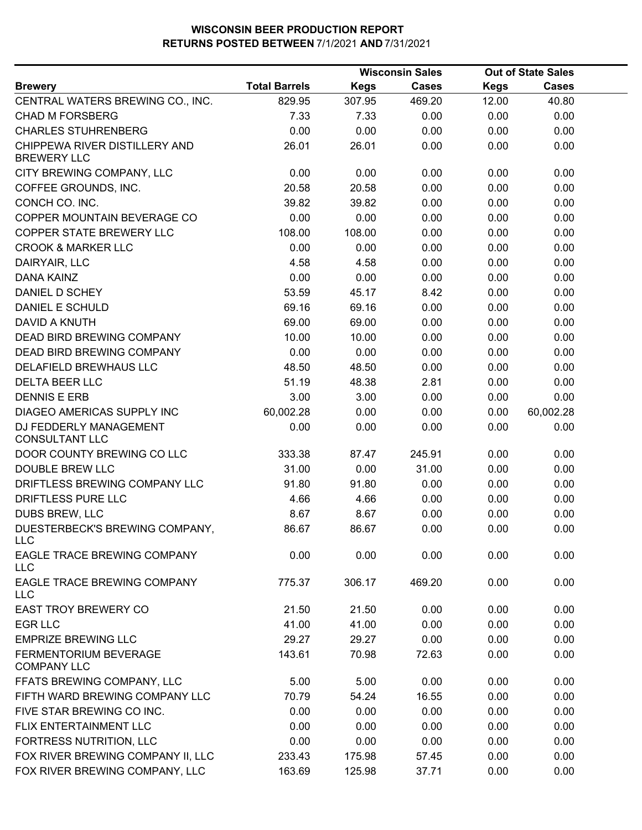|                                                     |                      |             | <b>Wisconsin Sales</b> |             | <b>Out of State Sales</b> |  |
|-----------------------------------------------------|----------------------|-------------|------------------------|-------------|---------------------------|--|
| <b>Brewery</b>                                      | <b>Total Barrels</b> | <b>Kegs</b> | <b>Cases</b>           | <b>Kegs</b> | <b>Cases</b>              |  |
| CENTRAL WATERS BREWING CO., INC.                    | 829.95               | 307.95      | 469.20                 | 12.00       | 40.80                     |  |
| <b>CHAD M FORSBERG</b>                              | 7.33                 | 7.33        | 0.00                   | 0.00        | 0.00                      |  |
| <b>CHARLES STUHRENBERG</b>                          | 0.00                 | 0.00        | 0.00                   | 0.00        | 0.00                      |  |
| CHIPPEWA RIVER DISTILLERY AND<br><b>BREWERY LLC</b> | 26.01                | 26.01       | 0.00                   | 0.00        | 0.00                      |  |
| CITY BREWING COMPANY, LLC                           | 0.00                 | 0.00        | 0.00                   | 0.00        | 0.00                      |  |
| COFFEE GROUNDS, INC.                                | 20.58                | 20.58       | 0.00                   | 0.00        | 0.00                      |  |
| CONCH CO. INC.                                      | 39.82                | 39.82       | 0.00                   | 0.00        | 0.00                      |  |
| COPPER MOUNTAIN BEVERAGE CO                         | 0.00                 | 0.00        | 0.00                   | 0.00        | 0.00                      |  |
| COPPER STATE BREWERY LLC                            | 108.00               | 108.00      | 0.00                   | 0.00        | 0.00                      |  |
| <b>CROOK &amp; MARKER LLC</b>                       | 0.00                 | 0.00        | 0.00                   | 0.00        | 0.00                      |  |
| DAIRYAIR, LLC                                       | 4.58                 | 4.58        | 0.00                   | 0.00        | 0.00                      |  |
| DANA KAINZ                                          | 0.00                 | 0.00        | 0.00                   | 0.00        | 0.00                      |  |
| DANIEL D SCHEY                                      | 53.59                | 45.17       | 8.42                   | 0.00        | 0.00                      |  |
| <b>DANIEL E SCHULD</b>                              | 69.16                | 69.16       | 0.00                   | 0.00        | 0.00                      |  |
| <b>DAVID A KNUTH</b>                                | 69.00                | 69.00       | 0.00                   | 0.00        | 0.00                      |  |
| <b>DEAD BIRD BREWING COMPANY</b>                    | 10.00                | 10.00       | 0.00                   | 0.00        | 0.00                      |  |
| DEAD BIRD BREWING COMPANY                           | 0.00                 | 0.00        | 0.00                   | 0.00        | 0.00                      |  |
| DELAFIELD BREWHAUS LLC                              | 48.50                | 48.50       | 0.00                   | 0.00        | 0.00                      |  |
| <b>DELTA BEER LLC</b>                               | 51.19                | 48.38       | 2.81                   | 0.00        | 0.00                      |  |
| <b>DENNIS E ERB</b>                                 | 3.00                 | 3.00        | 0.00                   | 0.00        | 0.00                      |  |
| DIAGEO AMERICAS SUPPLY INC                          | 60,002.28            | 0.00        | 0.00                   | 0.00        | 60,002.28                 |  |
| DJ FEDDERLY MANAGEMENT<br><b>CONSULTANT LLC</b>     | 0.00                 | 0.00        | 0.00                   | 0.00        | 0.00                      |  |
| DOOR COUNTY BREWING CO LLC                          | 333.38               | 87.47       | 245.91                 | 0.00        | 0.00                      |  |
| <b>DOUBLE BREW LLC</b>                              | 31.00                | 0.00        | 31.00                  | 0.00        | 0.00                      |  |
| DRIFTLESS BREWING COMPANY LLC                       | 91.80                | 91.80       | 0.00                   | 0.00        | 0.00                      |  |
| DRIFTLESS PURE LLC                                  | 4.66                 | 4.66        | 0.00                   | 0.00        | 0.00                      |  |
| DUBS BREW, LLC                                      | 8.67                 | 8.67        | 0.00                   | 0.00        | 0.00                      |  |
| DUESTERBECK'S BREWING COMPANY,<br>LLC               | 86.67                | 86.67       | 0.00                   | 0.00        | 0.00                      |  |
| EAGLE TRACE BREWING COMPANY<br><b>LLC</b>           | 0.00                 | 0.00        | 0.00                   | 0.00        | 0.00                      |  |
| EAGLE TRACE BREWING COMPANY<br><b>LLC</b>           | 775.37               | 306.17      | 469.20                 | 0.00        | 0.00                      |  |
| <b>EAST TROY BREWERY CO</b>                         | 21.50                | 21.50       | 0.00                   | 0.00        | 0.00                      |  |
| <b>EGR LLC</b>                                      | 41.00                | 41.00       | 0.00                   | 0.00        | 0.00                      |  |
| <b>EMPRIZE BREWING LLC</b>                          | 29.27                | 29.27       | 0.00                   | 0.00        | 0.00                      |  |
| <b>FERMENTORIUM BEVERAGE</b><br><b>COMPANY LLC</b>  | 143.61               | 70.98       | 72.63                  | 0.00        | 0.00                      |  |
| FFATS BREWING COMPANY, LLC                          | 5.00                 | 5.00        | 0.00                   | 0.00        | 0.00                      |  |
| FIFTH WARD BREWING COMPANY LLC                      | 70.79                | 54.24       | 16.55                  | 0.00        | 0.00                      |  |
| FIVE STAR BREWING CO INC.                           | 0.00                 | 0.00        | 0.00                   | 0.00        | 0.00                      |  |
| FLIX ENTERTAINMENT LLC                              | 0.00                 | 0.00        | 0.00                   | 0.00        | 0.00                      |  |
| FORTRESS NUTRITION, LLC                             | 0.00                 | 0.00        | 0.00                   | 0.00        | 0.00                      |  |
| FOX RIVER BREWING COMPANY II, LLC                   | 233.43               | 175.98      | 57.45                  | 0.00        | 0.00                      |  |
| FOX RIVER BREWING COMPANY, LLC                      | 163.69               | 125.98      | 37.71                  | 0.00        | 0.00                      |  |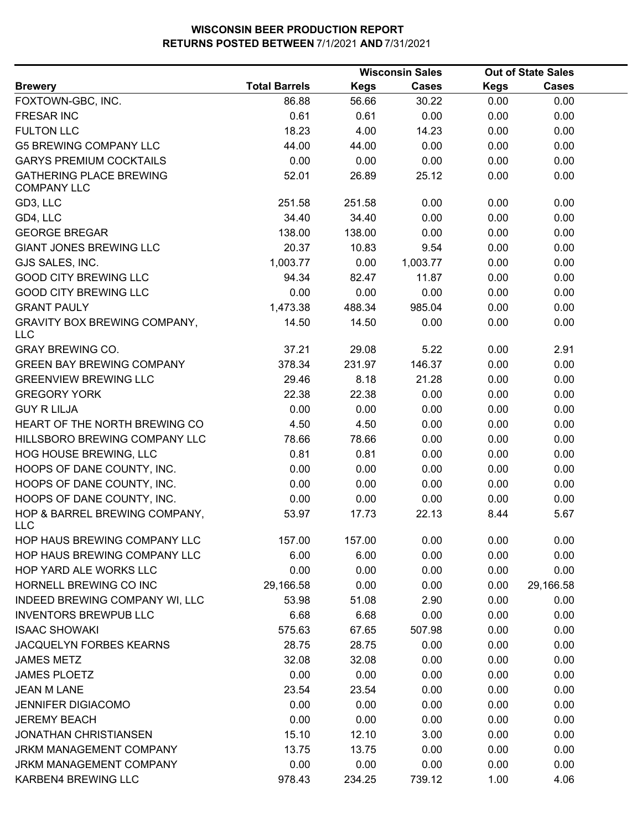|                                                      |                      | <b>Wisconsin Sales</b> | <b>Out of State Sales</b> |      |              |  |
|------------------------------------------------------|----------------------|------------------------|---------------------------|------|--------------|--|
| <b>Brewery</b>                                       | <b>Total Barrels</b> | <b>Kegs</b>            | <b>Cases</b>              | Kegs | <b>Cases</b> |  |
| FOXTOWN-GBC, INC.                                    | 86.88                | 56.66                  | 30.22                     | 0.00 | 0.00         |  |
| <b>FRESAR INC</b>                                    | 0.61                 | 0.61                   | 0.00                      | 0.00 | 0.00         |  |
| <b>FULTON LLC</b>                                    | 18.23                | 4.00                   | 14.23                     | 0.00 | 0.00         |  |
| <b>G5 BREWING COMPANY LLC</b>                        | 44.00                | 44.00                  | 0.00                      | 0.00 | 0.00         |  |
| <b>GARYS PREMIUM COCKTAILS</b>                       | 0.00                 | 0.00                   | 0.00                      | 0.00 | 0.00         |  |
| <b>GATHERING PLACE BREWING</b><br><b>COMPANY LLC</b> | 52.01                | 26.89                  | 25.12                     | 0.00 | 0.00         |  |
| GD3, LLC                                             | 251.58               | 251.58                 | 0.00                      | 0.00 | 0.00         |  |
| GD4, LLC                                             | 34.40                | 34.40                  | 0.00                      | 0.00 | 0.00         |  |
| <b>GEORGE BREGAR</b>                                 | 138.00               | 138.00                 | 0.00                      | 0.00 | 0.00         |  |
| <b>GIANT JONES BREWING LLC</b>                       | 20.37                | 10.83                  | 9.54                      | 0.00 | 0.00         |  |
| GJS SALES, INC.                                      | 1,003.77             | 0.00                   | 1,003.77                  | 0.00 | 0.00         |  |
| <b>GOOD CITY BREWING LLC</b>                         | 94.34                | 82.47                  | 11.87                     | 0.00 | 0.00         |  |
| <b>GOOD CITY BREWING LLC</b>                         | 0.00                 | 0.00                   | 0.00                      | 0.00 | 0.00         |  |
| <b>GRANT PAULY</b>                                   | 1,473.38             | 488.34                 | 985.04                    | 0.00 | 0.00         |  |
| <b>GRAVITY BOX BREWING COMPANY,</b><br><b>LLC</b>    | 14.50                | 14.50                  | 0.00                      | 0.00 | 0.00         |  |
| <b>GRAY BREWING CO.</b>                              | 37.21                | 29.08                  | 5.22                      | 0.00 | 2.91         |  |
| <b>GREEN BAY BREWING COMPANY</b>                     | 378.34               | 231.97                 | 146.37                    | 0.00 | 0.00         |  |
| <b>GREENVIEW BREWING LLC</b>                         | 29.46                | 8.18                   | 21.28                     | 0.00 | 0.00         |  |
| <b>GREGORY YORK</b>                                  | 22.38                | 22.38                  | 0.00                      | 0.00 | 0.00         |  |
| <b>GUY R LILJA</b>                                   | 0.00                 | 0.00                   | 0.00                      | 0.00 | 0.00         |  |
| HEART OF THE NORTH BREWING CO                        | 4.50                 | 4.50                   | 0.00                      | 0.00 | 0.00         |  |
| HILLSBORO BREWING COMPANY LLC                        | 78.66                | 78.66                  | 0.00                      | 0.00 | 0.00         |  |
| HOG HOUSE BREWING, LLC                               | 0.81                 | 0.81                   | 0.00                      | 0.00 | 0.00         |  |
| HOOPS OF DANE COUNTY, INC.                           | 0.00                 | 0.00                   | 0.00                      | 0.00 | 0.00         |  |
| HOOPS OF DANE COUNTY, INC.                           | 0.00                 | 0.00                   | 0.00                      | 0.00 | 0.00         |  |
| HOOPS OF DANE COUNTY, INC.                           | 0.00                 | 0.00                   | 0.00                      | 0.00 | 0.00         |  |
| HOP & BARREL BREWING COMPANY,<br><b>LLC</b>          | 53.97                | 17.73                  | 22.13                     | 8.44 | 5.67         |  |
| HOP HAUS BREWING COMPANY LLC                         | 157.00               | 157.00                 | 0.00                      | 0.00 | 0.00         |  |
| HOP HAUS BREWING COMPANY LLC                         | 6.00                 | 6.00                   | 0.00                      | 0.00 | 0.00         |  |
| HOP YARD ALE WORKS LLC                               | 0.00                 | 0.00                   | 0.00                      | 0.00 | 0.00         |  |
| HORNELL BREWING CO INC                               | 29,166.58            | 0.00                   | 0.00                      | 0.00 | 29,166.58    |  |
| INDEED BREWING COMPANY WI, LLC                       | 53.98                | 51.08                  | 2.90                      | 0.00 | 0.00         |  |
| <b>INVENTORS BREWPUB LLC</b>                         | 6.68                 | 6.68                   | 0.00                      | 0.00 | 0.00         |  |
| <b>ISAAC SHOWAKI</b>                                 | 575.63               | 67.65                  | 507.98                    | 0.00 | 0.00         |  |
| JACQUELYN FORBES KEARNS                              | 28.75                | 28.75                  | 0.00                      | 0.00 | 0.00         |  |
| <b>JAMES METZ</b>                                    | 32.08                | 32.08                  | 0.00                      | 0.00 | 0.00         |  |
| <b>JAMES PLOETZ</b>                                  | 0.00                 | 0.00                   | 0.00                      | 0.00 | 0.00         |  |
| <b>JEAN M LANE</b>                                   | 23.54                | 23.54                  | 0.00                      | 0.00 | 0.00         |  |
| <b>JENNIFER DIGIACOMO</b>                            | 0.00                 | 0.00                   | 0.00                      | 0.00 | 0.00         |  |
| <b>JEREMY BEACH</b>                                  | 0.00                 | 0.00                   | 0.00                      | 0.00 | 0.00         |  |
| <b>JONATHAN CHRISTIANSEN</b>                         | 15.10                | 12.10                  | 3.00                      | 0.00 | 0.00         |  |
| <b>JRKM MANAGEMENT COMPANY</b>                       | 13.75                | 13.75                  | 0.00                      | 0.00 | 0.00         |  |
| JRKM MANAGEMENT COMPANY                              | 0.00                 | 0.00                   | 0.00                      | 0.00 | 0.00         |  |
| KARBEN4 BREWING LLC                                  | 978.43               | 234.25                 | 739.12                    | 1.00 | 4.06         |  |
|                                                      |                      |                        |                           |      |              |  |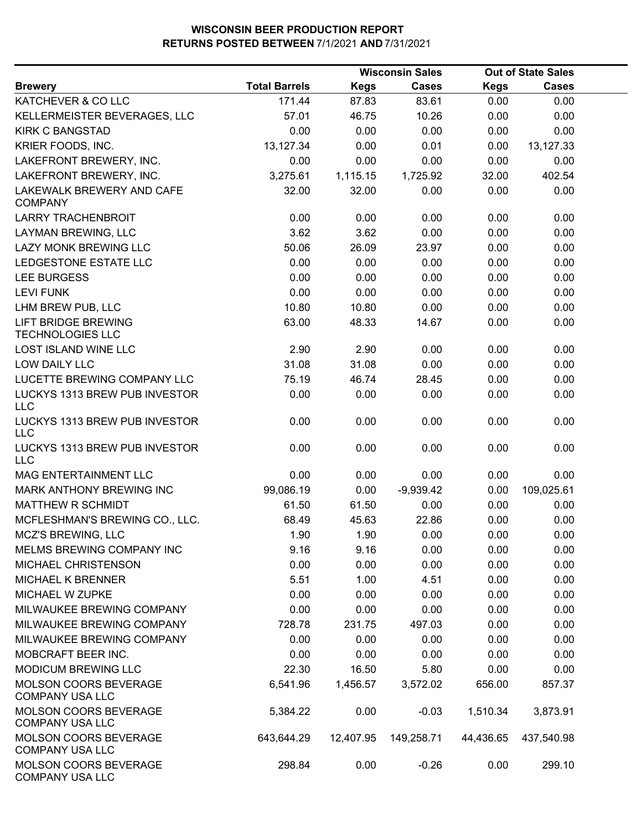|                                                        |                      |             | <b>Wisconsin Sales</b> |             | <b>Out of State Sales</b> |  |
|--------------------------------------------------------|----------------------|-------------|------------------------|-------------|---------------------------|--|
| <b>Brewery</b>                                         | <b>Total Barrels</b> | <b>Kegs</b> | <b>Cases</b>           | <b>Kegs</b> | <b>Cases</b>              |  |
| KATCHEVER & CO LLC                                     | 171.44               | 87.83       | 83.61                  | 0.00        | 0.00                      |  |
| KELLERMEISTER BEVERAGES, LLC                           | 57.01                | 46.75       | 10.26                  | 0.00        | 0.00                      |  |
| <b>KIRK C BANGSTAD</b>                                 | 0.00                 | 0.00        | 0.00                   | 0.00        | 0.00                      |  |
| KRIER FOODS, INC.                                      | 13,127.34            | 0.00        | 0.01                   | 0.00        | 13,127.33                 |  |
| LAKEFRONT BREWERY, INC.                                | 0.00                 | 0.00        | 0.00                   | 0.00        | 0.00                      |  |
| LAKEFRONT BREWERY, INC.                                | 3,275.61             | 1,115.15    | 1,725.92               | 32.00       | 402.54                    |  |
| LAKEWALK BREWERY AND CAFE<br><b>COMPANY</b>            | 32.00                | 32.00       | 0.00                   | 0.00        | 0.00                      |  |
| <b>LARRY TRACHENBROIT</b>                              | 0.00                 | 0.00        | 0.00                   | 0.00        | 0.00                      |  |
| LAYMAN BREWING, LLC                                    | 3.62                 | 3.62        | 0.00                   | 0.00        | 0.00                      |  |
| LAZY MONK BREWING LLC                                  | 50.06                | 26.09       | 23.97                  | 0.00        | 0.00                      |  |
| LEDGESTONE ESTATE LLC                                  | 0.00                 | 0.00        | 0.00                   | 0.00        | 0.00                      |  |
| <b>LEE BURGESS</b>                                     | 0.00                 | 0.00        | 0.00                   | 0.00        | 0.00                      |  |
| <b>LEVI FUNK</b>                                       | 0.00                 | 0.00        | 0.00                   | 0.00        | 0.00                      |  |
| LHM BREW PUB, LLC                                      | 10.80                | 10.80       | 0.00                   | 0.00        | 0.00                      |  |
| <b>LIFT BRIDGE BREWING</b><br><b>TECHNOLOGIES LLC</b>  | 63.00                | 48.33       | 14.67                  | 0.00        | 0.00                      |  |
| <b>LOST ISLAND WINE LLC</b>                            | 2.90                 | 2.90        | 0.00                   | 0.00        | 0.00                      |  |
| LOW DAILY LLC                                          | 31.08                | 31.08       | 0.00                   | 0.00        | 0.00                      |  |
| LUCETTE BREWING COMPANY LLC                            | 75.19                | 46.74       | 28.45                  | 0.00        | 0.00                      |  |
| LUCKYS 1313 BREW PUB INVESTOR<br><b>LLC</b>            | 0.00                 | 0.00        | 0.00                   | 0.00        | 0.00                      |  |
| LUCKYS 1313 BREW PUB INVESTOR<br><b>LLC</b>            | 0.00                 | 0.00        | 0.00                   | 0.00        | 0.00                      |  |
| LUCKYS 1313 BREW PUB INVESTOR<br><b>LLC</b>            | 0.00                 | 0.00        | 0.00                   | 0.00        | 0.00                      |  |
| MAG ENTERTAINMENT LLC                                  | 0.00                 | 0.00        | 0.00                   | 0.00        | 0.00                      |  |
| MARK ANTHONY BREWING INC                               | 99,086.19            | 0.00        | $-9,939.42$            | 0.00        | 109,025.61                |  |
| <b>MATTHEW R SCHMIDT</b>                               | 61.50                | 61.50       | 0.00                   | 0.00        | 0.00                      |  |
| MCFLESHMAN'S BREWING CO., LLC.                         | 68.49                | 45.63       | 22.86                  | 0.00        | 0.00                      |  |
| MCZ'S BREWING, LLC                                     | 1.90                 | 1.90        | 0.00                   | 0.00        | 0.00                      |  |
| MELMS BREWING COMPANY INC                              | 9.16                 | 9.16        | 0.00                   | 0.00        | 0.00                      |  |
| MICHAEL CHRISTENSON                                    | 0.00                 | 0.00        | 0.00                   | 0.00        | 0.00                      |  |
| <b>MICHAEL K BRENNER</b>                               | 5.51                 | 1.00        | 4.51                   | 0.00        | 0.00                      |  |
| MICHAEL W ZUPKE                                        | 0.00                 | 0.00        | 0.00                   | 0.00        | 0.00                      |  |
| MILWAUKEE BREWING COMPANY                              | 0.00                 | 0.00        | 0.00                   | 0.00        | 0.00                      |  |
| MILWAUKEE BREWING COMPANY                              | 728.78               | 231.75      | 497.03                 | 0.00        | 0.00                      |  |
| MILWAUKEE BREWING COMPANY                              | 0.00                 | 0.00        | 0.00                   | 0.00        | 0.00                      |  |
| MOBCRAFT BEER INC.                                     | 0.00                 | 0.00        | 0.00                   | 0.00        | 0.00                      |  |
| <b>MODICUM BREWING LLC</b>                             | 22.30                | 16.50       | 5.80                   | 0.00        | 0.00                      |  |
| MOLSON COORS BEVERAGE<br><b>COMPANY USA LLC</b>        | 6,541.96             | 1,456.57    | 3,572.02               | 656.00      | 857.37                    |  |
| <b>MOLSON COORS BEVERAGE</b><br><b>COMPANY USA LLC</b> | 5,384.22             | 0.00        | $-0.03$                | 1,510.34    | 3,873.91                  |  |
| MOLSON COORS BEVERAGE<br><b>COMPANY USA LLC</b>        | 643,644.29           | 12,407.95   | 149,258.71             | 44,436.65   | 437,540.98                |  |
| <b>MOLSON COORS BEVERAGE</b><br><b>COMPANY USA LLC</b> | 298.84               | 0.00        | $-0.26$                | 0.00        | 299.10                    |  |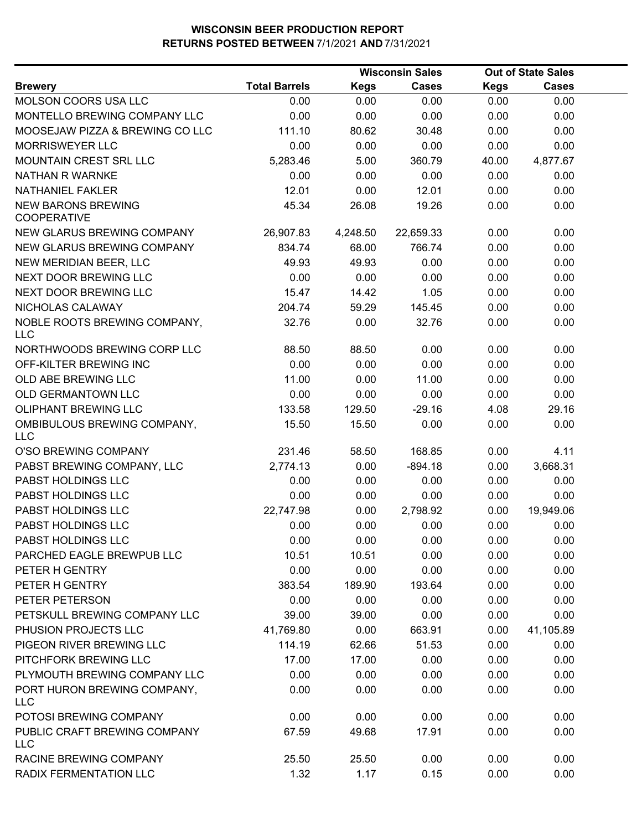|                                                 |                      |             | <b>Wisconsin Sales</b> |             | <b>Out of State Sales</b> |  |
|-------------------------------------------------|----------------------|-------------|------------------------|-------------|---------------------------|--|
| <b>Brewery</b>                                  | <b>Total Barrels</b> | <b>Kegs</b> | <b>Cases</b>           | <b>Kegs</b> | <b>Cases</b>              |  |
| MOLSON COORS USA LLC                            | 0.00                 | 0.00        | 0.00                   | 0.00        | 0.00                      |  |
| MONTELLO BREWING COMPANY LLC                    | 0.00                 | 0.00        | 0.00                   | 0.00        | 0.00                      |  |
| MOOSEJAW PIZZA & BREWING CO LLC                 | 111.10               | 80.62       | 30.48                  | 0.00        | 0.00                      |  |
| <b>MORRISWEYER LLC</b>                          | 0.00                 | 0.00        | 0.00                   | 0.00        | 0.00                      |  |
| MOUNTAIN CREST SRL LLC                          | 5,283.46             | 5.00        | 360.79                 | 40.00       | 4,877.67                  |  |
| NATHAN R WARNKE                                 | 0.00                 | 0.00        | 0.00                   | 0.00        | 0.00                      |  |
| <b>NATHANIEL FAKLER</b>                         | 12.01                | 0.00        | 12.01                  | 0.00        | 0.00                      |  |
| <b>NEW BARONS BREWING</b><br><b>COOPERATIVE</b> | 45.34                | 26.08       | 19.26                  | 0.00        | 0.00                      |  |
| <b>NEW GLARUS BREWING COMPANY</b>               | 26,907.83            | 4,248.50    | 22,659.33              | 0.00        | 0.00                      |  |
| NEW GLARUS BREWING COMPANY                      | 834.74               | 68.00       | 766.74                 | 0.00        | 0.00                      |  |
| NEW MERIDIAN BEER, LLC                          | 49.93                | 49.93       | 0.00                   | 0.00        | 0.00                      |  |
| NEXT DOOR BREWING LLC                           | 0.00                 | 0.00        | 0.00                   | 0.00        | 0.00                      |  |
| NEXT DOOR BREWING LLC                           | 15.47                | 14.42       | 1.05                   | 0.00        | 0.00                      |  |
| NICHOLAS CALAWAY                                | 204.74               | 59.29       | 145.45                 | 0.00        | 0.00                      |  |
| NOBLE ROOTS BREWING COMPANY,<br><b>LLC</b>      | 32.76                | 0.00        | 32.76                  | 0.00        | 0.00                      |  |
| NORTHWOODS BREWING CORP LLC                     | 88.50                | 88.50       | 0.00                   | 0.00        | 0.00                      |  |
| OFF-KILTER BREWING INC                          | 0.00                 | 0.00        | 0.00                   | 0.00        | 0.00                      |  |
| OLD ABE BREWING LLC                             | 11.00                | 0.00        | 11.00                  | 0.00        | 0.00                      |  |
| OLD GERMANTOWN LLC                              | 0.00                 | 0.00        | 0.00                   | 0.00        | 0.00                      |  |
| <b>OLIPHANT BREWING LLC</b>                     | 133.58               | 129.50      | $-29.16$               | 4.08        | 29.16                     |  |
| OMBIBULOUS BREWING COMPANY,<br><b>LLC</b>       | 15.50                | 15.50       | 0.00                   | 0.00        | 0.00                      |  |
| O'SO BREWING COMPANY                            | 231.46               | 58.50       | 168.85                 | 0.00        | 4.11                      |  |
| PABST BREWING COMPANY, LLC                      | 2,774.13             | 0.00        | $-894.18$              | 0.00        | 3,668.31                  |  |
| PABST HOLDINGS LLC                              | 0.00                 | 0.00        | 0.00                   | 0.00        | 0.00                      |  |
| PABST HOLDINGS LLC                              | 0.00                 | 0.00        | 0.00                   | 0.00        | 0.00                      |  |
| PABST HOLDINGS LLC                              | 22,747.98            | 0.00        | 2,798.92               | 0.00        | 19,949.06                 |  |
| PABST HOLDINGS LLC                              | 0.00                 | 0.00        | 0.00                   | 0.00        | 0.00                      |  |
| PABST HOLDINGS LLC                              | 0.00                 | 0.00        | 0.00                   | 0.00        | 0.00                      |  |
| PARCHED EAGLE BREWPUB LLC                       | 10.51                | 10.51       | 0.00                   | 0.00        | 0.00                      |  |
| PETER H GENTRY                                  | 0.00                 | 0.00        | 0.00                   | 0.00        | 0.00                      |  |
| PETER H GENTRY                                  | 383.54               | 189.90      | 193.64                 | 0.00        | 0.00                      |  |
| PETER PETERSON                                  | 0.00                 | 0.00        | 0.00                   | 0.00        | 0.00                      |  |
| PETSKULL BREWING COMPANY LLC                    | 39.00                | 39.00       | 0.00                   | 0.00        | 0.00                      |  |
| PHUSION PROJECTS LLC                            | 41,769.80            | 0.00        | 663.91                 | 0.00        | 41,105.89                 |  |
| PIGEON RIVER BREWING LLC                        | 114.19               | 62.66       | 51.53                  | 0.00        | 0.00                      |  |
| PITCHFORK BREWING LLC                           | 17.00                | 17.00       | 0.00                   | 0.00        | 0.00                      |  |
| PLYMOUTH BREWING COMPANY LLC                    | 0.00                 | 0.00        | 0.00                   | 0.00        | 0.00                      |  |
| PORT HURON BREWING COMPANY,<br><b>LLC</b>       | 0.00                 | 0.00        | 0.00                   | 0.00        | 0.00                      |  |
| POTOSI BREWING COMPANY                          | 0.00                 | 0.00        | 0.00                   | 0.00        | 0.00                      |  |
| PUBLIC CRAFT BREWING COMPANY<br><b>LLC</b>      | 67.59                | 49.68       | 17.91                  | 0.00        | 0.00                      |  |
| RACINE BREWING COMPANY                          | 25.50                | 25.50       | 0.00                   | 0.00        | 0.00                      |  |
| RADIX FERMENTATION LLC                          | 1.32                 | 1.17        | 0.15                   | 0.00        | 0.00                      |  |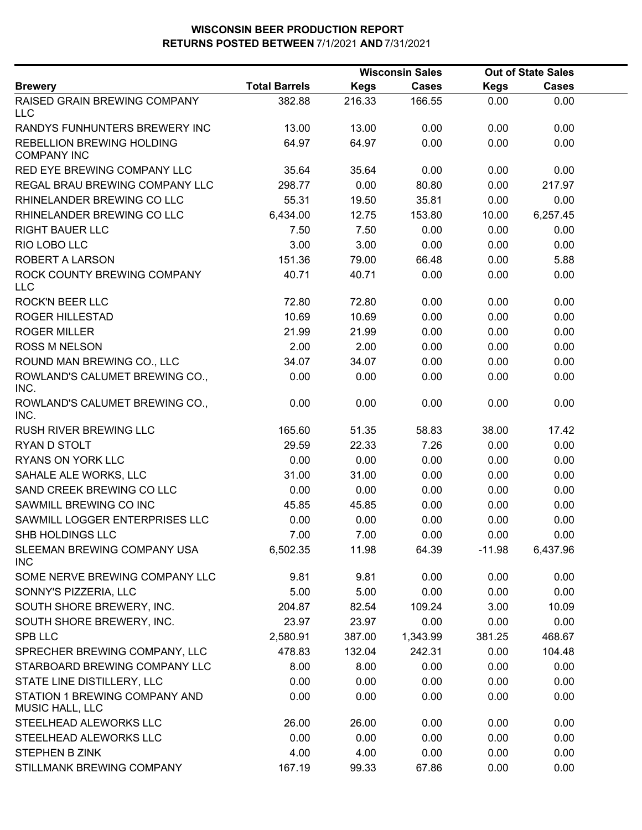|                                                  |                      |             | <b>Wisconsin Sales</b> |             | <b>Out of State Sales</b> |  |
|--------------------------------------------------|----------------------|-------------|------------------------|-------------|---------------------------|--|
| <b>Brewery</b>                                   | <b>Total Barrels</b> | <b>Kegs</b> | <b>Cases</b>           | <b>Kegs</b> | <b>Cases</b>              |  |
| RAISED GRAIN BREWING COMPANY<br><b>LLC</b>       | 382.88               | 216.33      | 166.55                 | 0.00        | 0.00                      |  |
| RANDYS FUNHUNTERS BREWERY INC                    | 13.00                | 13.00       | 0.00                   | 0.00        | 0.00                      |  |
| REBELLION BREWING HOLDING<br><b>COMPANY INC</b>  | 64.97                | 64.97       | 0.00                   | 0.00        | 0.00                      |  |
| <b>RED EYE BREWING COMPANY LLC</b>               | 35.64                | 35.64       | 0.00                   | 0.00        | 0.00                      |  |
| REGAL BRAU BREWING COMPANY LLC                   | 298.77               | 0.00        | 80.80                  | 0.00        | 217.97                    |  |
| RHINELANDER BREWING CO LLC                       | 55.31                | 19.50       | 35.81                  | 0.00        | 0.00                      |  |
| RHINELANDER BREWING CO LLC                       | 6,434.00             | 12.75       | 153.80                 | 10.00       | 6,257.45                  |  |
| <b>RIGHT BAUER LLC</b>                           | 7.50                 | 7.50        | 0.00                   | 0.00        | 0.00                      |  |
| RIO LOBO LLC                                     | 3.00                 | 3.00        | 0.00                   | 0.00        | 0.00                      |  |
| <b>ROBERT A LARSON</b>                           | 151.36               | 79.00       | 66.48                  | 0.00        | 5.88                      |  |
| ROCK COUNTY BREWING COMPANY<br><b>LLC</b>        | 40.71                | 40.71       | 0.00                   | 0.00        | 0.00                      |  |
| <b>ROCK'N BEER LLC</b>                           | 72.80                | 72.80       | 0.00                   | 0.00        | 0.00                      |  |
| <b>ROGER HILLESTAD</b>                           | 10.69                | 10.69       | 0.00                   | 0.00        | 0.00                      |  |
| <b>ROGER MILLER</b>                              | 21.99                | 21.99       | 0.00                   | 0.00        | 0.00                      |  |
| <b>ROSS M NELSON</b>                             | 2.00                 | 2.00        | 0.00                   | 0.00        | 0.00                      |  |
| ROUND MAN BREWING CO., LLC                       | 34.07                | 34.07       | 0.00                   | 0.00        | 0.00                      |  |
| ROWLAND'S CALUMET BREWING CO.,<br>INC.           | 0.00                 | 0.00        | 0.00                   | 0.00        | 0.00                      |  |
| ROWLAND'S CALUMET BREWING CO.,<br>INC.           | 0.00                 | 0.00        | 0.00                   | 0.00        | 0.00                      |  |
| RUSH RIVER BREWING LLC                           | 165.60               | 51.35       | 58.83                  | 38.00       | 17.42                     |  |
| RYAN D STOLT                                     | 29.59                | 22.33       | 7.26                   | 0.00        | 0.00                      |  |
| RYANS ON YORK LLC                                | 0.00                 | 0.00        | 0.00                   | 0.00        | 0.00                      |  |
| SAHALE ALE WORKS, LLC                            | 31.00                | 31.00       | 0.00                   | 0.00        | 0.00                      |  |
| SAND CREEK BREWING CO LLC                        | 0.00                 | 0.00        | 0.00                   | 0.00        | 0.00                      |  |
| SAWMILL BREWING CO INC                           | 45.85                | 45.85       | 0.00                   | 0.00        | 0.00                      |  |
| SAWMILL LOGGER ENTERPRISES LLC                   | 0.00                 | 0.00        | 0.00                   | 0.00        | 0.00                      |  |
| SHB HOLDINGS LLC                                 | 7.00                 | 7.00        | 0.00                   | 0.00        | 0.00                      |  |
| SLEEMAN BREWING COMPANY USA<br><b>INC</b>        | 6,502.35             | 11.98       | 64.39                  | $-11.98$    | 6,437.96                  |  |
| SOME NERVE BREWING COMPANY LLC                   | 9.81                 | 9.81        | 0.00                   | 0.00        | 0.00                      |  |
| SONNY'S PIZZERIA, LLC                            | 5.00                 | 5.00        | 0.00                   | 0.00        | 0.00                      |  |
| SOUTH SHORE BREWERY, INC.                        | 204.87               | 82.54       | 109.24                 | 3.00        | 10.09                     |  |
| SOUTH SHORE BREWERY, INC.                        | 23.97                | 23.97       | 0.00                   | 0.00        | 0.00                      |  |
| SPB LLC                                          | 2,580.91             | 387.00      | 1,343.99               | 381.25      | 468.67                    |  |
| SPRECHER BREWING COMPANY, LLC                    | 478.83               | 132.04      | 242.31                 | 0.00        | 104.48                    |  |
| STARBOARD BREWING COMPANY LLC                    | 8.00                 | 8.00        | 0.00                   | 0.00        | 0.00                      |  |
| STATE LINE DISTILLERY, LLC                       | 0.00                 | 0.00        | 0.00                   | 0.00        | 0.00                      |  |
| STATION 1 BREWING COMPANY AND<br>MUSIC HALL, LLC | 0.00                 | 0.00        | 0.00                   | 0.00        | 0.00                      |  |
| STEELHEAD ALEWORKS LLC                           | 26.00                | 26.00       | 0.00                   | 0.00        | 0.00                      |  |
| STEELHEAD ALEWORKS LLC                           | 0.00                 | 0.00        | 0.00                   | 0.00        | 0.00                      |  |
| <b>STEPHEN B ZINK</b>                            | 4.00                 | 4.00        | 0.00                   | 0.00        | 0.00                      |  |
| STILLMANK BREWING COMPANY                        | 167.19               | 99.33       | 67.86                  | 0.00        | 0.00                      |  |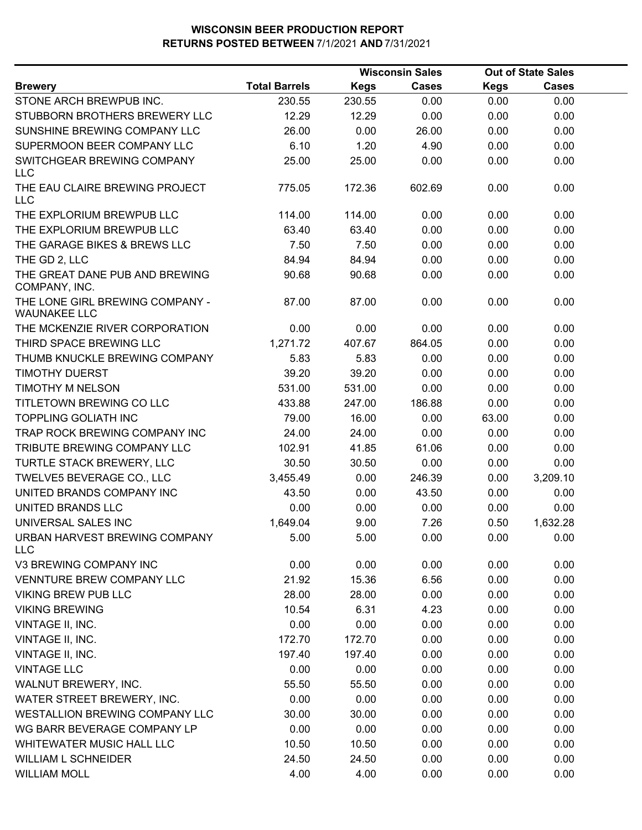|                                                        |                      |             | <b>Wisconsin Sales</b> |             | <b>Out of State Sales</b> |  |
|--------------------------------------------------------|----------------------|-------------|------------------------|-------------|---------------------------|--|
| <b>Brewery</b>                                         | <b>Total Barrels</b> | <b>Kegs</b> | <b>Cases</b>           | <b>Kegs</b> | <b>Cases</b>              |  |
| STONE ARCH BREWPUB INC.                                | 230.55               | 230.55      | 0.00                   | 0.00        | 0.00                      |  |
| STUBBORN BROTHERS BREWERY LLC                          | 12.29                | 12.29       | 0.00                   | 0.00        | 0.00                      |  |
| SUNSHINE BREWING COMPANY LLC                           | 26.00                | 0.00        | 26.00                  | 0.00        | 0.00                      |  |
| SUPERMOON BEER COMPANY LLC                             | 6.10                 | 1.20        | 4.90                   | 0.00        | 0.00                      |  |
| SWITCHGEAR BREWING COMPANY<br><b>LLC</b>               | 25.00                | 25.00       | 0.00                   | 0.00        | 0.00                      |  |
| THE EAU CLAIRE BREWING PROJECT<br><b>LLC</b>           | 775.05               | 172.36      | 602.69                 | 0.00        | 0.00                      |  |
| THE EXPLORIUM BREWPUB LLC                              | 114.00               | 114.00      | 0.00                   | 0.00        | 0.00                      |  |
| THE EXPLORIUM BREWPUB LLC                              | 63.40                | 63.40       | 0.00                   | 0.00        | 0.00                      |  |
| THE GARAGE BIKES & BREWS LLC                           | 7.50                 | 7.50        | 0.00                   | 0.00        | 0.00                      |  |
| THE GD 2, LLC                                          | 84.94                | 84.94       | 0.00                   | 0.00        | 0.00                      |  |
| THE GREAT DANE PUB AND BREWING<br>COMPANY, INC.        | 90.68                | 90.68       | 0.00                   | 0.00        | 0.00                      |  |
| THE LONE GIRL BREWING COMPANY -<br><b>WAUNAKEE LLC</b> | 87.00                | 87.00       | 0.00                   | 0.00        | 0.00                      |  |
| THE MCKENZIE RIVER CORPORATION                         | 0.00                 | 0.00        | 0.00                   | 0.00        | 0.00                      |  |
| THIRD SPACE BREWING LLC                                | 1,271.72             | 407.67      | 864.05                 | 0.00        | 0.00                      |  |
| THUMB KNUCKLE BREWING COMPANY                          | 5.83                 | 5.83        | 0.00                   | 0.00        | 0.00                      |  |
| <b>TIMOTHY DUERST</b>                                  | 39.20                | 39.20       | 0.00                   | 0.00        | 0.00                      |  |
| <b>TIMOTHY M NELSON</b>                                | 531.00               | 531.00      | 0.00                   | 0.00        | 0.00                      |  |
| TITLETOWN BREWING CO LLC                               | 433.88               | 247.00      | 186.88                 | 0.00        | 0.00                      |  |
| <b>TOPPLING GOLIATH INC</b>                            | 79.00                | 16.00       | 0.00                   | 63.00       | 0.00                      |  |
| TRAP ROCK BREWING COMPANY INC                          | 24.00                | 24.00       | 0.00                   | 0.00        | 0.00                      |  |
| TRIBUTE BREWING COMPANY LLC                            | 102.91               | 41.85       | 61.06                  | 0.00        | 0.00                      |  |
| TURTLE STACK BREWERY, LLC                              | 30.50                | 30.50       | 0.00                   | 0.00        | 0.00                      |  |
| TWELVE5 BEVERAGE CO., LLC                              | 3,455.49             | 0.00        | 246.39                 | 0.00        | 3,209.10                  |  |
| UNITED BRANDS COMPANY INC                              | 43.50                | 0.00        | 43.50                  | 0.00        | 0.00                      |  |
| <b>UNITED BRANDS LLC</b>                               | 0.00                 | 0.00        | 0.00                   | 0.00        | 0.00                      |  |
| UNIVERSAL SALES INC                                    | 1,649.04             | 9.00        | 7.26                   | 0.50        | 1,632.28                  |  |
| URBAN HARVEST BREWING COMPANY<br><b>LLC</b>            | 5.00                 | 5.00        | 0.00                   | 0.00        | 0.00                      |  |
| V3 BREWING COMPANY INC                                 | 0.00                 | 0.00        | 0.00                   | 0.00        | 0.00                      |  |
| VENNTURE BREW COMPANY LLC                              | 21.92                | 15.36       | 6.56                   | 0.00        | 0.00                      |  |
| <b>VIKING BREW PUB LLC</b>                             | 28.00                | 28.00       | 0.00                   | 0.00        | 0.00                      |  |
| <b>VIKING BREWING</b>                                  | 10.54                | 6.31        | 4.23                   | 0.00        | 0.00                      |  |
| VINTAGE II, INC.                                       | 0.00                 | 0.00        | 0.00                   | 0.00        | 0.00                      |  |
| VINTAGE II, INC.                                       | 172.70               | 172.70      | 0.00                   | 0.00        | 0.00                      |  |
| VINTAGE II, INC.                                       | 197.40               | 197.40      | 0.00                   | 0.00        | 0.00                      |  |
| <b>VINTAGE LLC</b>                                     | 0.00                 | 0.00        | 0.00                   | 0.00        | 0.00                      |  |
| WALNUT BREWERY, INC.                                   | 55.50                | 55.50       | 0.00                   | 0.00        | 0.00                      |  |
| WATER STREET BREWERY, INC.                             | 0.00                 | 0.00        | 0.00                   | 0.00        | 0.00                      |  |
| WESTALLION BREWING COMPANY LLC                         | 30.00                | 30.00       | 0.00                   | 0.00        | 0.00                      |  |
| WG BARR BEVERAGE COMPANY LP                            | 0.00                 | 0.00        | 0.00                   | 0.00        | 0.00                      |  |
| WHITEWATER MUSIC HALL LLC                              | 10.50                | 10.50       | 0.00                   | 0.00        | 0.00                      |  |
| <b>WILLIAM L SCHNEIDER</b>                             | 24.50                | 24.50       | 0.00                   | 0.00        | 0.00                      |  |
| <b>WILLIAM MOLL</b>                                    | 4.00                 | 4.00        | 0.00                   | 0.00        | 0.00                      |  |
|                                                        |                      |             |                        |             |                           |  |